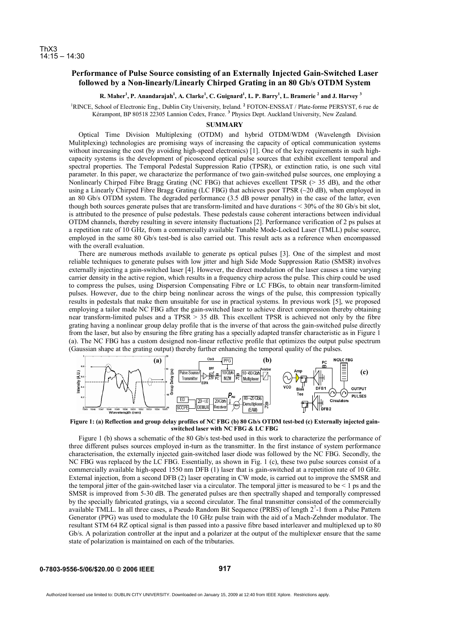## **Performance of Pulse Source consisting of an Externally Injected Gain-Switched Laser followed by a Non-linearly/Linearly Chirped Grating in an 80 Gb/s OTDM System**

## **R. Maher<sup>1</sup> , P. Anandarajah1 , A. Clarke<sup>1</sup> , C. Guignard1 , L. P. Barry1 , L. Bramerie <sup>2</sup> and J. Harvey <sup>3</sup>**

<sup>1</sup>RINCE, School of Electronic Eng., Dublin City University, Ireland. <sup>2</sup> FOTON-ENSSAT / Plate-forme PERSYST, 6 rue de Kérampont, BP 80518 22305 Lannion Cedex, France. **<sup>3</sup>** Physics Dept. Auckland University, New Zealand.

## **SUMMARY**

Optical Time Division Multiplexing (OTDM) and hybrid OTDM/WDM (Wavelength Division Mulitplexing) technologies are promising ways of increasing the capacity of optical communication systems without increasing the cost (by avoiding high-speed electronics) [1]. One of the key requirements in such highcapacity systems is the development of picosecond optical pulse sources that exhibit excellent temporal and spectral properties. The Temporal Pedestal Suppression Ratio (TPSR), or extinction ratio, is one such vital parameter. In this paper, we characterize the performance of two gain-switched pulse sources, one employing a Nonlinearly Chirped Fibre Bragg Grating (NC FBG) that achieves excellent TPSR (> 35 dB), and the other using a Linearly Chirped Fibre Bragg Grating (LC FBG) that achieves poor TPSR (~20 dB), when employed in an 80 Gb/s OTDM system. The degraded performance (3.5 dB power penalty) in the case of the latter, even though both sources generate pulses that are transform-limited and have durations < 30% of the 80 Gb/s bit slot, is attributed to the presence of pulse pedestals. These pedestals cause coherent interactions between individual OTDM channels, thereby resulting in severe intensity fluctuations [2]. Performance verification of 2 ps pulses at a repetition rate of 10 GHz, from a commercially available Tunable Mode-Locked Laser (TMLL) pulse source, employed in the same 80 Gb/s test-bed is also carried out. This result acts as a reference when encompassed with the overall evaluation.

There are numerous methods available to generate ps optical pulses [3]. One of the simplest and most reliable techniques to generate pulses with low jitter and high Side Mode Suppression Ratio (SMSR) involves externally injecting a gain-switched laser [4]. However, the direct modulation of the laser causes a time varying carrier density in the active region, which results in a frequency chirp across the pulse. This chirp could be used to compress the pulses, using Dispersion Compensating Fibre or LC FBGs, to obtain near transform-limited pulses. However, due to the chirp being nonlinear across the wings of the pulse, this compression typically results in pedestals that make them unsuitable for use in practical systems. In previous work [5], we proposed employing a tailor made NC FBG after the gain-switched laser to achieve direct compression thereby obtaining near transform-limited pulses and a TPSR > 35 dB. This excellent TPSR is achieved not only by the fibre grating having a nonlinear group delay profile that is the inverse of that across the gain-switched pulse directly from the laser, but also by ensuring the fibre grating has a specially adapted transfer characteristic as in Figure 1 (a). The NC FBG has a custom designed non-linear reflective profile that optimizes the output pulse spectrum (Gaussian shape at the grating output) thereby further enhancing the temporal quality of the pulses.



**Figure 1: (a) Reflection and group delay profiles of NC FBG (b) 80 Gb/s OTDM test-bed (c) Externally injected gainswitched laser with NC FBG & LC FBG** 

Figure 1 (b) shows a schematic of the 80 Gb/s test-bed used in this work to characterize the performance of three different pulses sources employed in-turn as the transmitter. In the first instance of system performance characterisation, the externally injected gain-switched laser diode was followed by the NC FBG. Secondly, the NC FBG was replaced by the LC FBG. Essentially, as shown in Fig. 1 (c), these two pulse sources consist of a commercially available high-speed 1550 nm DFB (1) laser that is gain-switched at a repetition rate of 10 GHz. External injection, from a second DFB (2) laser operating in CW mode, is carried out to improve the SMSR and the temporal jitter of the gain-switched laser via a circulator. The temporal jitter is measured to be  $\leq 1$  ps and the SMSR is improved from 5-30 dB. The generated pulses are then spectrally shaped and temporally compressed by the specially fabricated gratings, via a second circulator. The final transmitter consisted of the commercially available TMLL. In all three cases, a Pseudo Random Bit Sequence (PRBS) of length 2<sup>7</sup>-1 from a Pulse Pattern Generator (PPG) was used to modulate the 10 GHz pulse train with the aid of a Mach-Zehnder modulator. The resultant STM 64 RZ optical signal is then passed into a passive fibre based interleaver and multiplexed up to 80 Gb/s. A polarization controller at the input and a polarizer at the output of the multiplexer ensure that the same state of polarization is maintained on each of the tributaries.

**917**